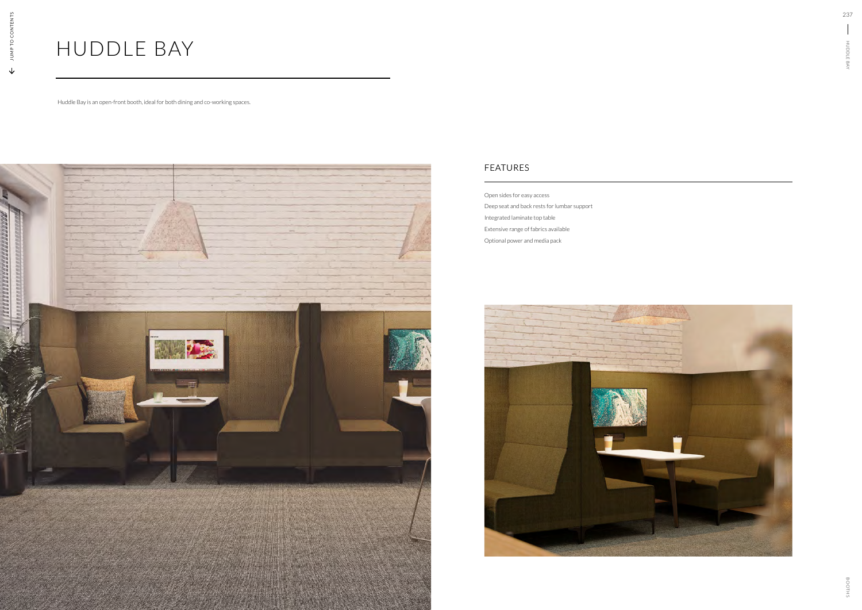# HUDDLE BAY

Huddle Bay is an open-front booth, ideal for both dining and co-working spaces.



### FEATURES

Open sides for easy access Deep seat and back rests for lumbar support Integrated laminate top table Extensive range of fabrics available Optional power and media pack

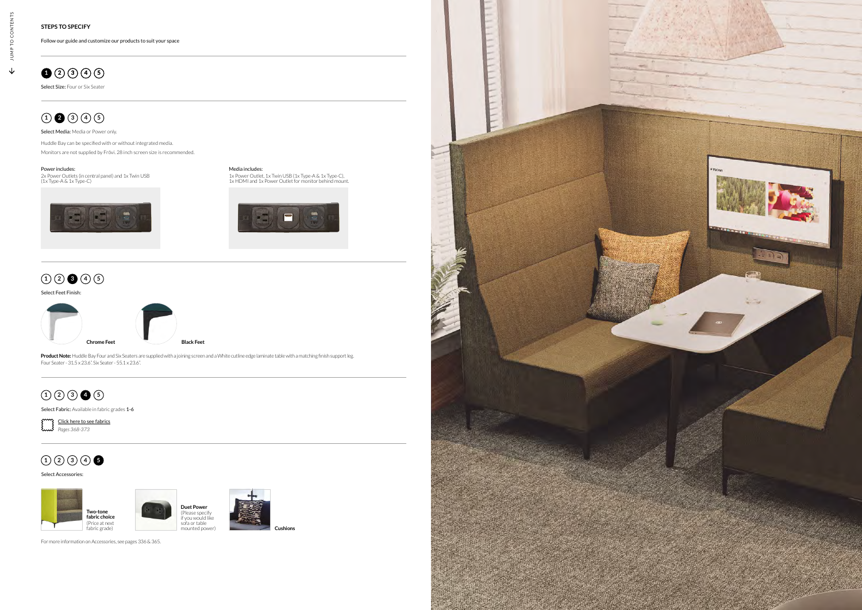

#### Select Size: Four or Six Seater

### **1 2 3 4 5**

Select Media: Media or Power only.

JU MP TO CONTENTS

JUMP<sup>-</sup>

 $\downarrow$ 

TO CONTEN

NT<sub>S</sub>

Follow our guide and customize our products to suit your space

#### Select Accessories:

Select Feet Finish:



### **1 2 3 4 5**

### **1 2 3 4 5**

Select Fabric: Available in fabric grades 1-6

## **1 2 3 4 5**



For more information on Accessories, see pages 336 & 365.

Huddle Bay can be specified with or without integrated media. Monitors are not supplied by Frövi. 28 inch screen size is recommended.

**Product Note:** Huddle Bay Four and Six Seaters are supplied with a joining screen and a White cutline edge laminate table with a matching finish support leg. Four Seater - 31.5 x 23.6". Six Seater - 55.1 x 23.6".



Media includes: 1x Power Outlet, 1x Twin USB (1x Type-A & 1x Type-C), 1x HDMI and 1x Power Outlet for monitor behind mount.



#### Power includes:

2x Power Outlets (in central panel) and 1x Twin USB (1x Type-A & 1x Type-C)